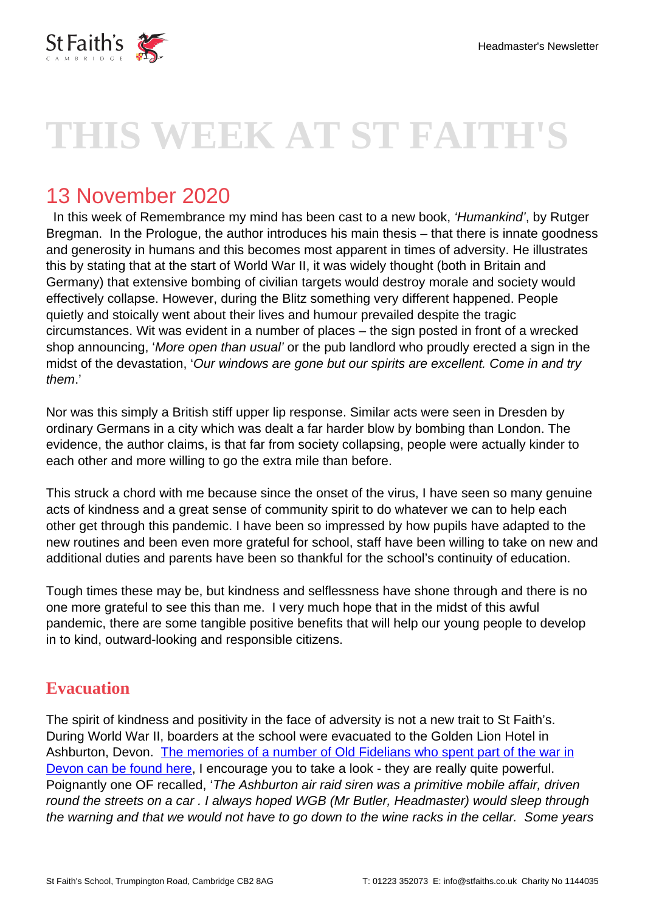

# **THIS WEEK AT ST FAITH'S**

## 13 November 2020

In this week of Remembrance my mind has been cast to a new book, 'Humankind', by Rutger Bregman. In the Prologue, the author introduces his main thesis – that there is innate goodness and generosity in humans and this becomes most apparent in times of adversity. He illustrates this by stating that at the start of World War II, it was widely thought (both in Britain and Germany) that extensive bombing of civilian targets would destroy morale and society would effectively collapse. However, during the Blitz something very different happened. People quietly and stoically went about their lives and humour prevailed despite the tragic circumstances. Wit was evident in a number of places – the sign posted in front of a wrecked shop announcing, 'More open than usual' or the pub landlord who proudly erected a sign in the midst of the devastation, 'Our windows are gone but our spirits are excellent. Come in and try them.'

Nor was this simply a British stiff upper lip response. Similar acts were seen in Dresden by ordinary Germans in a city which was dealt a far harder blow by bombing than London. The evidence, the author claims, is that far from society collapsing, people were actually kinder to each other and more willing to go the extra mile than before.

This struck a chord with me because since the onset of the virus, I have seen so many genuine acts of kindness and a great sense of community spirit to do whatever we can to help each other get through this pandemic. I have been so impressed by how pupils have adapted to the new routines and been even more grateful for school, staff have been willing to take on new and additional duties and parents have been so thankful for the school's continuity of education.

Tough times these may be, but kindness and selflessness have shone through and there is no one more grateful to see this than me. I very much hope that in the midst of this awful pandemic, there are some tangible positive benefits that will help our young people to develop in to kind, outward-looking and responsible citizens.

#### **Evacuation**

The spirit of kindness and positivity in the face of adversity is not a new trait to St Faith's. During World War II, boarders at the school were evacuated to the Golden Lion Hotel in Ashburton, Devon. [The memories of a number of Old Fidelians who spent part of the war in](https://www.stfaiths.co.uk/wp-content/uploads/2020/10/Ashburton-Memories.pdf) [Devon can be found here](https://www.stfaiths.co.uk/wp-content/uploads/2020/10/Ashburton-Memories.pdf), I encourage you to take a look - they are really quite powerful. Poignantly one OF recalled, 'The Ashburton air raid siren was a primitive mobile affair, driven round the streets on a car . I always hoped WGB (Mr Butler, Headmaster) would sleep through the warning and that we would not have to go down to the wine racks in the cellar. Some years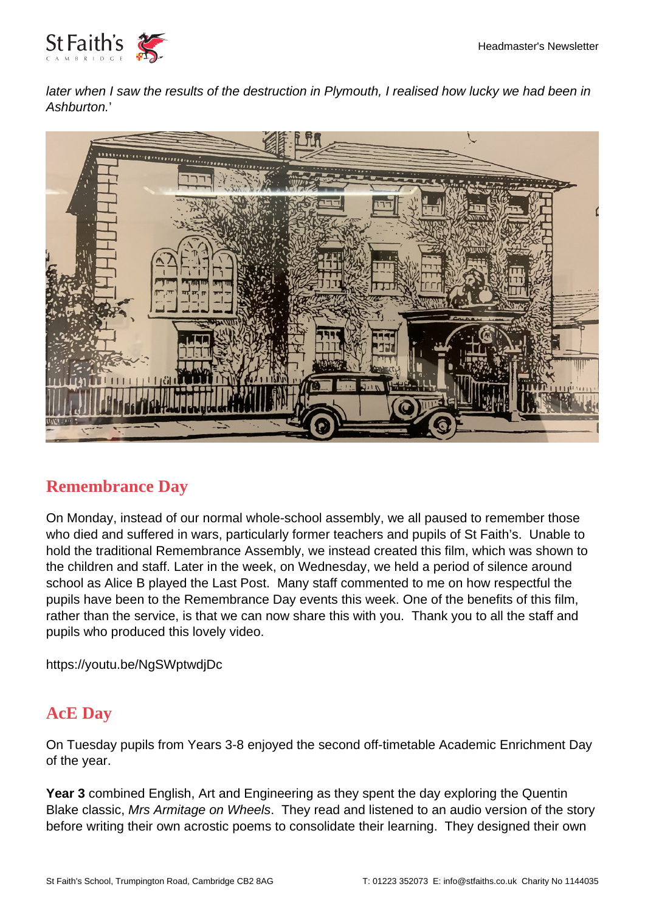

later when I saw the results of the destruction in Plymouth, I realised how lucky we had been in Ashburton.'



#### **Remembrance Day**

On Monday, instead of our normal whole-school assembly, we all paused to remember those who died and suffered in wars, particularly former teachers and pupils of St Faith's. Unable to hold the traditional Remembrance Assembly, we instead created this film, which was shown to the children and staff. Later in the week, on Wednesday, we held a period of silence around school as Alice B played the Last Post. Many staff commented to me on how respectful the pupils have been to the Remembrance Day events this week. One of the benefits of this film, rather than the service, is that we can now share this with you. Thank you to all the staff and pupils who produced this lovely video.

https://youtu.be/NgSWptwdjDc

#### **AcE Day**

On Tuesday pupils from Years 3-8 enjoyed the second off-timetable Academic Enrichment Day of the year.

**Year 3** combined English, Art and Engineering as they spent the day exploring the Quentin Blake classic, Mrs Armitage on Wheels. They read and listened to an audio version of the story before writing their own acrostic poems to consolidate their learning. They designed their own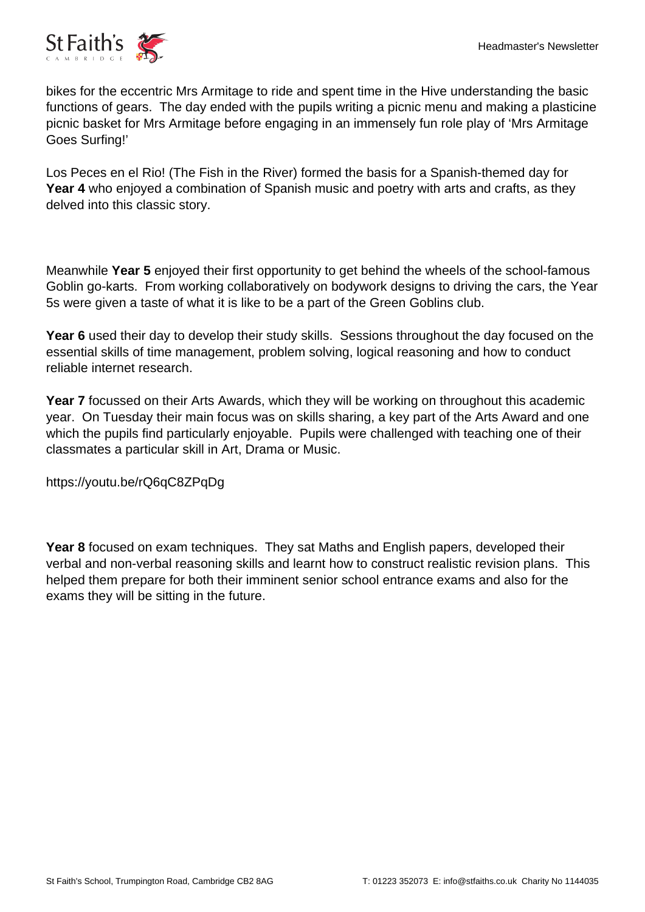

bikes for the eccentric Mrs Armitage to ride and spent time in the Hive understanding the basic functions of gears. The day ended with the pupils writing a picnic menu and making a plasticine picnic basket for Mrs Armitage before engaging in an immensely fun role play of 'Mrs Armitage Goes Surfing!'

Los Peces en el Rio! (The Fish in the River) formed the basis for a Spanish-themed day for **Year 4** who enjoyed a combination of Spanish music and poetry with arts and crafts, as they delved into this classic story.

Meanwhile **Year 5** enjoyed their first opportunity to get behind the wheels of the school-famous Goblin go-karts. From working collaboratively on bodywork designs to driving the cars, the Year 5s were given a taste of what it is like to be a part of the Green Goblins club.

**Year 6** used their day to develop their study skills. Sessions throughout the day focused on the essential skills of time management, problem solving, logical reasoning and how to conduct reliable internet research.

**Year 7** focussed on their Arts Awards, which they will be working on throughout this academic year. On Tuesday their main focus was on skills sharing, a key part of the Arts Award and one which the pupils find particularly enjoyable. Pupils were challenged with teaching one of their classmates a particular skill in Art, Drama or Music.

https://youtu.be/rQ6qC8ZPqDg

**Year 8** focused on exam techniques. They sat Maths and English papers, developed their verbal and non-verbal reasoning skills and learnt how to construct realistic revision plans. This helped them prepare for both their imminent senior school entrance exams and also for the exams they will be sitting in the future.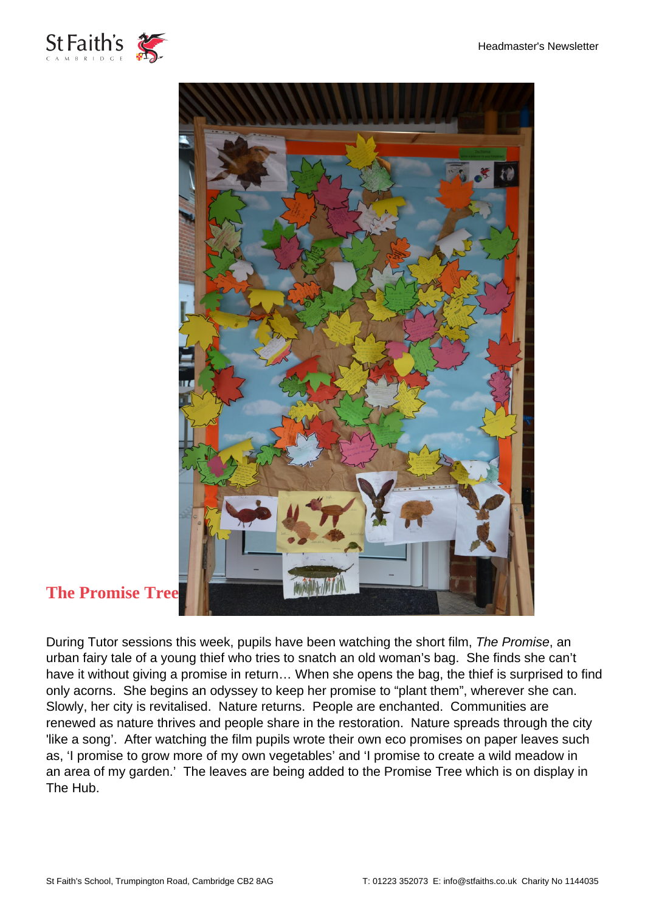



### **The Promise Tre[e](https://www.stfaiths.co.uk/wp-content/uploads/2020/11/DSC_0635-scaled.jpg)**

During Tutor sessions this week, pupils have been watching the short film, The Promise, an urban fairy tale of a young thief who tries to snatch an old woman's bag. She finds she can't have it without giving a promise in return… When she opens the bag, the thief is surprised to find only acorns. She begins an odyssey to keep her promise to "plant them", wherever she can. Slowly, her city is revitalised. Nature returns. People are enchanted. Communities are renewed as nature thrives and people share in the restoration. Nature spreads through the city 'like a song'. After watching the film pupils wrote their own eco promises on paper leaves such as, 'I promise to grow more of my own vegetables' and 'I promise to create a wild meadow in an area of my garden.' The leaves are being added to the Promise Tree which is on display in The Hub.